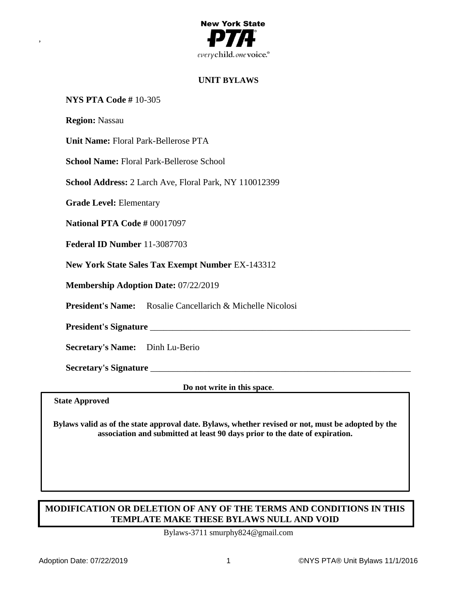

# **UNIT BYLAWS**

## **NYS PTA Code #** 10-305

**Region:** Nassau

,

**Unit Name:** Floral Park-Bellerose PTA

**School Name:** Floral Park-Bellerose School

**School Address:** 2 Larch Ave, Floral Park, NY 110012399

**Grade Level:** Elementary

**National PTA Code #** 00017097

**Federal ID Number** 11-3087703

**New York State Sales Tax Exempt Number** EX-143312

**Membership Adoption Date:** 07/22/2019

**President's Name:** Rosalie Cancellarich & Michelle Nicolosi

President's Signature

**Secretary's Name:** Dinh Lu-Berio

**Secretary's Signature** \_\_\_\_\_\_\_\_\_\_\_\_\_\_\_\_\_\_\_\_\_\_\_\_\_\_\_\_\_\_\_\_\_\_\_\_\_\_\_\_\_\_\_\_\_\_\_\_\_\_\_\_\_\_\_\_\_\_

**Do not write in this space**.

**State Approved**

**Bylaws valid as of the state approval date. Bylaws, whether revised or not, must be adopted by the association and submitted at least 90 days prior to the date of expiration.**

# **MODIFICATION OR DELETION OF ANY OF THE TERMS AND CONDITIONS IN THIS TEMPLATE MAKE THESE BYLAWS NULL AND VOID**

Bylaws-3711 smurphy824@gmail.com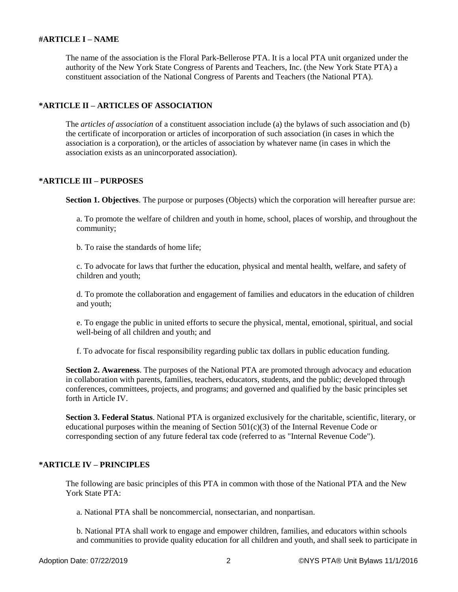### **#ARTICLE I – NAME**

The name of the association is the Floral Park-Bellerose PTA. It is a local PTA unit organized under the authority of the New York State Congress of Parents and Teachers, Inc. (the New York State PTA) a constituent association of the National Congress of Parents and Teachers (the National PTA).

## **\*ARTICLE II – ARTICLES OF ASSOCIATION**

The *articles of association* of a constituent association include (a) the bylaws of such association and (b) the certificate of incorporation or articles of incorporation of such association (in cases in which the association is a corporation), or the articles of association by whatever name (in cases in which the association exists as an unincorporated association).

## **\*ARTICLE III – PURPOSES**

**Section 1. Objectives**. The purpose or purposes (Objects) which the corporation will hereafter pursue are:

a. To promote the welfare of children and youth in home, school, places of worship, and throughout the community;

b. To raise the standards of home life;

c. To advocate for laws that further the education, physical and mental health, welfare, and safety of children and youth;

d. To promote the collaboration and engagement of families and educators in the education of children and youth;

e. To engage the public in united efforts to secure the physical, mental, emotional, spiritual, and social well-being of all children and youth; and

f. To advocate for fiscal responsibility regarding public tax dollars in public education funding.

**Section 2. Awareness**. The purposes of the National PTA are promoted through advocacy and education in collaboration with parents, families, teachers, educators, students, and the public; developed through conferences, committees, projects, and programs; and governed and qualified by the basic principles set forth in Article IV.

**Section 3. Federal Status**. National PTA is organized exclusively for the charitable, scientific, literary, or educational purposes within the meaning of Section 501(c)(3) of the Internal Revenue Code or corresponding section of any future federal tax code (referred to as "Internal Revenue Code").

## **\*ARTICLE IV – PRINCIPLES**

The following are basic principles of this PTA in common with those of the National PTA and the New York State PTA:

a. National PTA shall be noncommercial, nonsectarian, and nonpartisan.

b. National PTA shall work to engage and empower children, families, and educators within schools and communities to provide quality education for all children and youth, and shall seek to participate in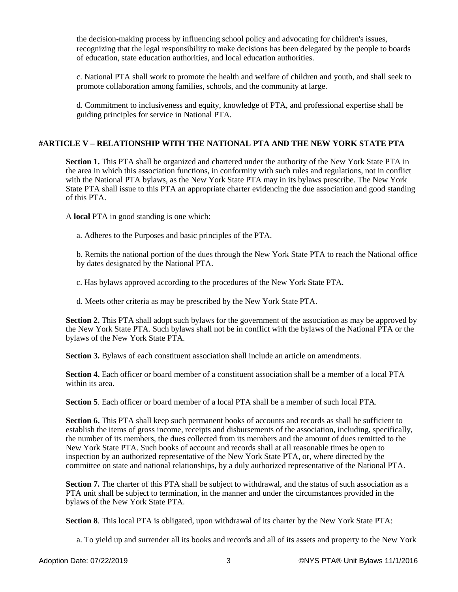the decision-making process by influencing school policy and advocating for children's issues, recognizing that the legal responsibility to make decisions has been delegated by the people to boards of education, state education authorities, and local education authorities.

c. National PTA shall work to promote the health and welfare of children and youth, and shall seek to promote collaboration among families, schools, and the community at large.

d. Commitment to inclusiveness and equity, knowledge of PTA, and professional expertise shall be guiding principles for service in National PTA.

## **#ARTICLE V – RELATIONSHIP WITH THE NATIONAL PTA AND THE NEW YORK STATE PTA**

**Section 1.** This PTA shall be organized and chartered under the authority of the New York State PTA in the area in which this association functions, in conformity with such rules and regulations, not in conflict with the National PTA bylaws, as the New York State PTA may in its bylaws prescribe. The New York State PTA shall issue to this PTA an appropriate charter evidencing the due association and good standing of this PTA.

A **local** PTA in good standing is one which:

a. Adheres to the Purposes and basic principles of the PTA.

b. Remits the national portion of the dues through the New York State PTA to reach the National office by dates designated by the National PTA.

c. Has bylaws approved according to the procedures of the New York State PTA.

d. Meets other criteria as may be prescribed by the New York State PTA.

**Section 2.** This PTA shall adopt such bylaws for the government of the association as may be approved by the New York State PTA. Such bylaws shall not be in conflict with the bylaws of the National PTA or the bylaws of the New York State PTA.

**Section 3.** Bylaws of each constituent association shall include an article on amendments.

**Section 4.** Each officer or board member of a constituent association shall be a member of a local PTA within its area.

**Section 5**. Each officer or board member of a local PTA shall be a member of such local PTA.

**Section 6.** This PTA shall keep such permanent books of accounts and records as shall be sufficient to establish the items of gross income, receipts and disbursements of the association, including, specifically, the number of its members, the dues collected from its members and the amount of dues remitted to the New York State PTA. Such books of account and records shall at all reasonable times be open to inspection by an authorized representative of the New York State PTA, or, where directed by the committee on state and national relationships, by a duly authorized representative of the National PTA.

**Section 7.** The charter of this PTA shall be subject to withdrawal, and the status of such association as a PTA unit shall be subject to termination, in the manner and under the circumstances provided in the bylaws of the New York State PTA.

**Section 8**. This local PTA is obligated, upon withdrawal of its charter by the New York State PTA:

a. To yield up and surrender all its books and records and all of its assets and property to the New York

Adoption Date: 07/22/2019 3 ©NYS PTA® Unit Bylaws 11/1/2016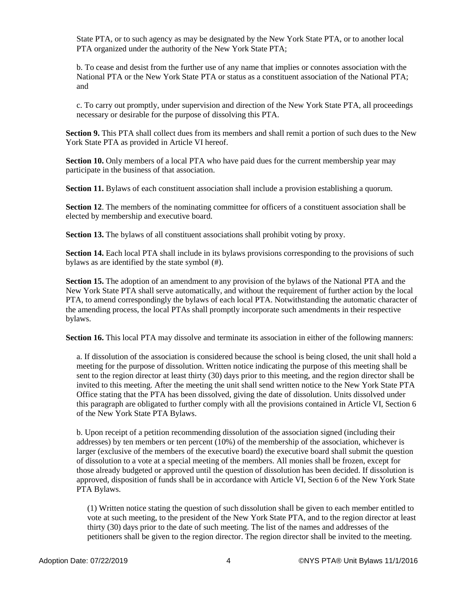State PTA, or to such agency as may be designated by the New York State PTA, or to another local PTA organized under the authority of the New York State PTA;

b. To cease and desist from the further use of any name that implies or connotes association with the National PTA or the New York State PTA or status as a constituent association of the National PTA; and

c. To carry out promptly, under supervision and direction of the New York State PTA, all proceedings necessary or desirable for the purpose of dissolving this PTA.

**Section 9.** This PTA shall collect dues from its members and shall remit a portion of such dues to the New York State PTA as provided in Article VI hereof.

**Section 10.** Only members of a local PTA who have paid dues for the current membership year may participate in the business of that association.

**Section 11.** Bylaws of each constituent association shall include a provision establishing a quorum.

**Section 12.** The members of the nominating committee for officers of a constituent association shall be elected by membership and executive board.

**Section 13.** The bylaws of all constituent associations shall prohibit voting by proxy.

**Section 14.** Each local PTA shall include in its bylaws provisions corresponding to the provisions of such bylaws as are identified by the state symbol (#).

**Section 15.** The adoption of an amendment to any provision of the bylaws of the National PTA and the New York State PTA shall serve automatically, and without the requirement of further action by the local PTA, to amend correspondingly the bylaws of each local PTA. Notwithstanding the automatic character of the amending process, the local PTAs shall promptly incorporate such amendments in their respective bylaws.

**Section 16.** This local PTA may dissolve and terminate its association in either of the following manners:

a. If dissolution of the association is considered because the school is being closed, the unit shall hold a meeting for the purpose of dissolution. Written notice indicating the purpose of this meeting shall be sent to the region director at least thirty (30) days prior to this meeting, and the region director shall be invited to this meeting. After the meeting the unit shall send written notice to the New York State PTA Office stating that the PTA has been dissolved, giving the date of dissolution. Units dissolved under this paragraph are obligated to further comply with all the provisions contained in Article VI, Section 6 of the New York State PTA Bylaws.

b. Upon receipt of a petition recommending dissolution of the association signed (including their addresses) by ten members or ten percent (10%) of the membership of the association, whichever is larger (exclusive of the members of the executive board) the executive board shall submit the question of dissolution to a vote at a special meeting of the members. All monies shall be frozen, except for those already budgeted or approved until the question of dissolution has been decided. If dissolution is approved, disposition of funds shall be in accordance with Article VI, Section 6 of the New York State PTA Bylaws.

(1) Written notice stating the question of such dissolution shall be given to each member entitled to vote at such meeting, to the president of the New York State PTA, and to the region director at least thirty (30) days prior to the date of such meeting. The list of the names and addresses of the petitioners shall be given to the region director. The region director shall be invited to the meeting.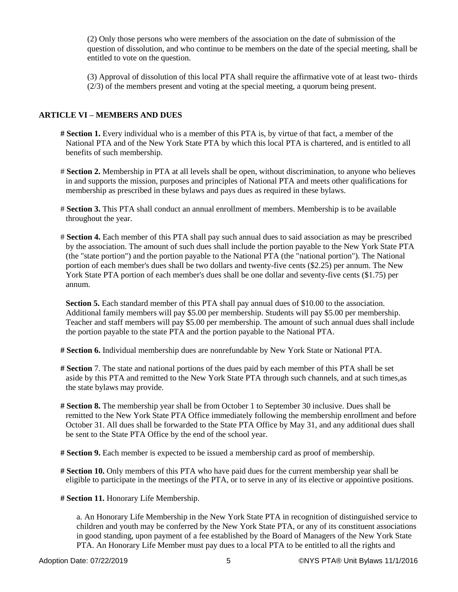(2) Only those persons who were members of the association on the date of submission of the question of dissolution, and who continue to be members on the date of the special meeting, shall be entitled to vote on the question.

(3) Approval of dissolution of this local PTA shall require the affirmative vote of at least two- thirds (2/3) of the members present and voting at the special meeting, a quorum being present.

## **ARTICLE VI – MEMBERS AND DUES**

- **# Section 1.** Every individual who is a member of this PTA is, by virtue of that fact, a member of the National PTA and of the New York State PTA by which this local PTA is chartered, and is entitled to all benefits of such membership.
- # **Section 2.** Membership in PTA at all levels shall be open, without discrimination, to anyone who believes in and supports the mission, purposes and principles of National PTA and meets other qualifications for membership as prescribed in these bylaws and pays dues as required in these bylaws.
- # **Section 3.** This PTA shall conduct an annual enrollment of members. Membership is to be available throughout the year.
- # **Section 4.** Each member of this PTA shall pay such annual dues to said association as may be prescribed by the association. The amount of such dues shall include the portion payable to the New York State PTA (the "state portion") and the portion payable to the National PTA (the "national portion"). The National portion of each member's dues shall be two dollars and twenty-five cents (\$2.25) per annum. The New York State PTA portion of each member's dues shall be one dollar and seventy-five cents (\$1.75) per annum.

**Section 5.** Each standard member of this PTA shall pay annual dues of \$10.00 to the association. Additional family members will pay \$5.00 per membership. Students will pay \$5.00 per membership. Teacher and staff members will pay \$5.00 per membership. The amount of such annual dues shall include the portion payable to the state PTA and the portion payable to the National PTA.

**# Section 6.** Individual membership dues are nonrefundable by New York State or National PTA.

- **# Section** 7. The state and national portions of the dues paid by each member of this PTA shall be set aside by this PTA and remitted to the New York State PTA through such channels, and at such times,as the state bylaws may provide.
- **# Section 8.** The membership year shall be from October 1 to September 30 inclusive. Dues shall be remitted to the New York State PTA Office immediately following the membership enrollment and before October 31. All dues shall be forwarded to the State PTA Office by May 31, and any additional dues shall be sent to the State PTA Office by the end of the school year.
- **# Section 9.** Each member is expected to be issued a membership card as proof of membership.
- **# Section 10.** Only members of this PTA who have paid dues for the current membership year shall be eligible to participate in the meetings of the PTA, or to serve in any of its elective or appointive positions.

**# Section 11.** Honorary Life Membership.

a. An Honorary Life Membership in the New York State PTA in recognition of distinguished service to children and youth may be conferred by the New York State PTA, or any of its constituent associations in good standing, upon payment of a fee established by the Board of Managers of the New York State PTA. An Honorary Life Member must pay dues to a local PTA to be entitled to all the rights and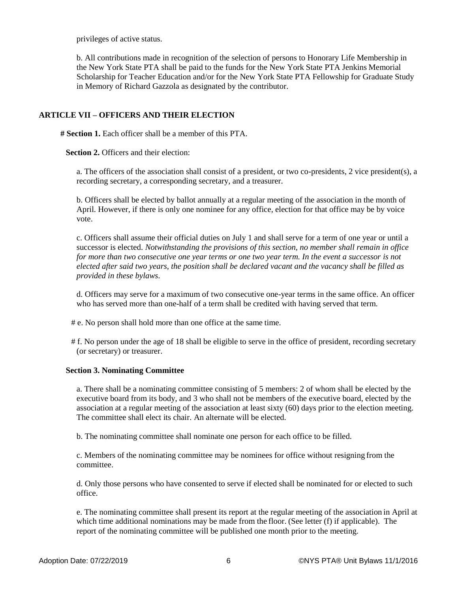privileges of active status.

b. All contributions made in recognition of the selection of persons to Honorary Life Membership in the New York State PTA shall be paid to the funds for the New York State PTA Jenkins Memorial Scholarship for Teacher Education and/or for the New York State PTA Fellowship for Graduate Study in Memory of Richard Gazzola as designated by the contributor.

## **ARTICLE VII – OFFICERS AND THEIR ELECTION**

**# Section 1.** Each officer shall be a member of this PTA.

**Section 2. Officers and their election:** 

a. The officers of the association shall consist of a president, or two co-presidents, 2 vice president(s), a recording secretary, a corresponding secretary, and a treasurer.

b. Officers shall be elected by ballot annually at a regular meeting of the association in the month of April. However, if there is only one nominee for any office, election for that office may be by voice vote.

c. Officers shall assume their official duties on July 1 and shall serve for a term of one year or until a successor is elected. *Notwithstanding the provisions of this section, no member shall remain in office for more than two consecutive one year terms or one two year term. In the event a successor is not elected after said two years, the position shall be declared vacant and the vacancy shall be filled as provided in these bylaws.*

d. Officers may serve for a maximum of two consecutive one-year terms in the same office. An officer who has served more than one-half of a term shall be credited with having served that term.

- # e. No person shall hold more than one office at the same time.
- # f. No person under the age of 18 shall be eligible to serve in the office of president, recording secretary (or secretary) or treasurer.

### **Section 3. Nominating Committee**

a. There shall be a nominating committee consisting of 5 members: 2 of whom shall be elected by the executive board from its body, and 3 who shall not be members of the executive board, elected by the association at a regular meeting of the association at least sixty (60) days prior to the election meeting. The committee shall elect its chair. An alternate will be elected.

b. The nominating committee shall nominate one person for each office to be filled.

c. Members of the nominating committee may be nominees for office without resigning from the committee.

d. Only those persons who have consented to serve if elected shall be nominated for or elected to such office.

e. The nominating committee shall present its report at the regular meeting of the association in April at which time additional nominations may be made from the floor. (See letter (f) if applicable). The report of the nominating committee will be published one month prior to the meeting.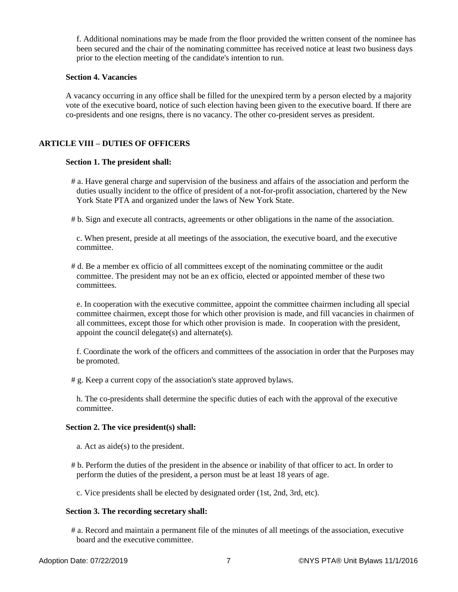f. Additional nominations may be made from the floor provided the written consent of the nominee has been secured and the chair of the nominating committee has received notice at least two business days prior to the election meeting of the candidate's intention to run.

#### **Section 4. Vacancies**

A vacancy occurring in any office shall be filled for the unexpired term by a person elected by a majority vote of the executive board, notice of such election having been given to the executive board. If there are co-presidents and one resigns, there is no vacancy. The other co-president serves as president.

## **ARTICLE VIII – DUTIES OF OFFICERS**

### **Section 1. The president shall:**

- # a. Have general charge and supervision of the business and affairs of the association and perform the duties usually incident to the office of president of a not-for-profit association, chartered by the New York State PTA and organized under the laws of New York State.
- # b. Sign and execute all contracts, agreements or other obligations in the name of the association.

c. When present, preside at all meetings of the association, the executive board, and the executive committee.

# d. Be a member ex officio of all committees except of the nominating committee or the audit committee. The president may not be an ex officio, elected or appointed member of these two committees.

e. In cooperation with the executive committee, appoint the committee chairmen including all special committee chairmen, except those for which other provision is made, and fill vacancies in chairmen of all committees, except those for which other provision is made. In cooperation with the president, appoint the council delegate(s) and alternate(s).

f. Coordinate the work of the officers and committees of the association in order that the Purposes may be promoted.

# g. Keep a current copy of the association's state approved bylaws.

h. The co-presidents shall determine the specific duties of each with the approval of the executive committee.

#### **Section 2. The vice president(s) shall:**

- a. Act as aide(s) to the president.
- # b. Perform the duties of the president in the absence or inability of that officer to act. In order to perform the duties of the president, a person must be at least 18 years of age.

c. Vice presidents shall be elected by designated order (1st, 2nd, 3rd, etc).

### **Section 3. The recording secretary shall:**

# a. Record and maintain a permanent file of the minutes of all meetings of the association, executive board and the executive committee.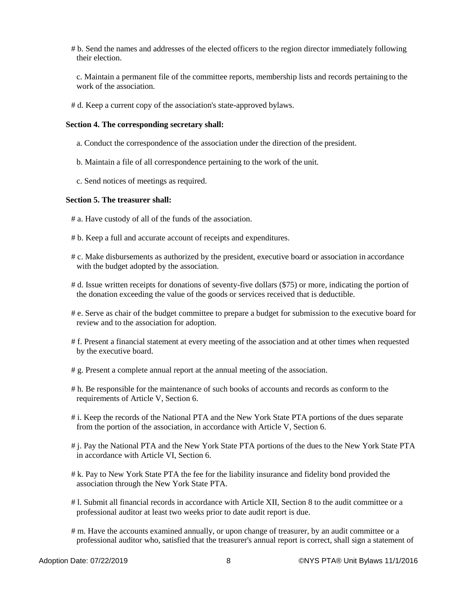# b. Send the names and addresses of the elected officers to the region director immediately following their election.

c. Maintain a permanent file of the committee reports, membership lists and records pertaining to the work of the association.

# d. Keep a current copy of the association's state-approved bylaws.

#### **Section 4. The corresponding secretary shall:**

- a. Conduct the correspondence of the association under the direction of the president.
- b. Maintain a file of all correspondence pertaining to the work of the unit.
- c. Send notices of meetings as required.

#### **Section 5. The treasurer shall:**

- # a. Have custody of all of the funds of the association.
- # b. Keep a full and accurate account of receipts and expenditures.
- # c. Make disbursements as authorized by the president, executive board or association in accordance with the budget adopted by the association.
- # d. Issue written receipts for donations of seventy-five dollars (\$75) or more, indicating the portion of the donation exceeding the value of the goods or services received that is deductible.
- # e. Serve as chair of the budget committee to prepare a budget for submission to the executive board for review and to the association for adoption.
- # f. Present a financial statement at every meeting of the association and at other times when requested by the executive board.
- # g. Present a complete annual report at the annual meeting of the association.
- # h. Be responsible for the maintenance of such books of accounts and records as conform to the requirements of Article V, Section 6.
- # i. Keep the records of the National PTA and the New York State PTA portions of the dues separate from the portion of the association, in accordance with Article V, Section 6.
- # j. Pay the National PTA and the New York State PTA portions of the dues to the New York State PTA in accordance with Article VI, Section 6.
- # k. Pay to New York State PTA the fee for the liability insurance and fidelity bond provided the association through the New York State PTA.
- # l. Submit all financial records in accordance with Article XII, Section 8 to the audit committee or a professional auditor at least two weeks prior to date audit report is due.
- # m. Have the accounts examined annually, or upon change of treasurer, by an audit committee or a professional auditor who, satisfied that the treasurer's annual report is correct, shall sign a statement of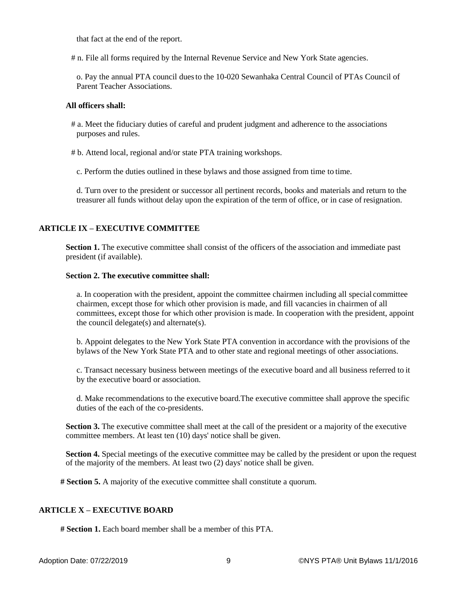that fact at the end of the report.

# n. File all forms required by the Internal Revenue Service and New York State agencies.

o. Pay the annual PTA council duesto the 10-020 Sewanhaka Central Council of PTAs Council of Parent Teacher Associations.

### **All officers shall:**

- # a. Meet the fiduciary duties of careful and prudent judgment and adherence to the associations purposes and rules.
- # b. Attend local, regional and/or state PTA training workshops.

c. Perform the duties outlined in these bylaws and those assigned from time to time.

d. Turn over to the president or successor all pertinent records, books and materials and return to the treasurer all funds without delay upon the expiration of the term of office, or in case of resignation.

## **ARTICLE IX – EXECUTIVE COMMITTEE**

**Section 1.** The executive committee shall consist of the officers of the association and immediate past president (if available).

#### **Section 2. The executive committee shall:**

a. In cooperation with the president, appoint the committee chairmen including all special committee chairmen, except those for which other provision is made, and fill vacancies in chairmen of all committees, except those for which other provision is made. In cooperation with the president, appoint the council delegate(s) and alternate(s).

b. Appoint delegates to the New York State PTA convention in accordance with the provisions of the bylaws of the New York State PTA and to other state and regional meetings of other associations.

c. Transact necessary business between meetings of the executive board and all business referred to it by the executive board or association.

d. Make recommendations to the executive board.The executive committee shall approve the specific duties of the each of the co-presidents.

**Section 3.** The executive committee shall meet at the call of the president or a majority of the executive committee members. At least ten (10) days' notice shall be given.

**Section 4.** Special meetings of the executive committee may be called by the president or upon the request of the majority of the members. At least two (2) days' notice shall be given.

**# Section 5.** A majority of the executive committee shall constitute a quorum.

## **ARTICLE X – EXECUTIVE BOARD**

**# Section 1.** Each board member shall be a member of this PTA.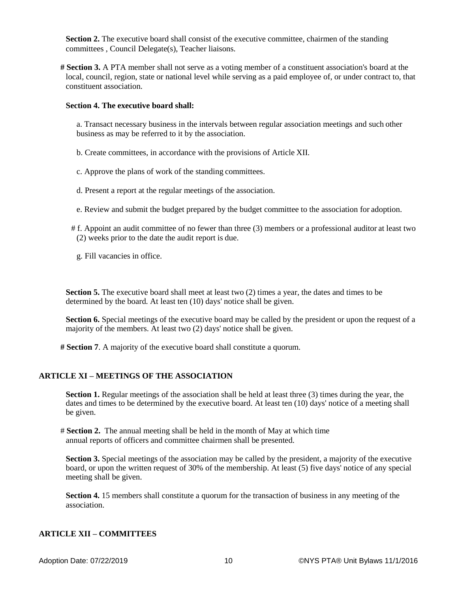**Section 2.** The executive board shall consist of the executive committee, chairmen of the standing committees , Council Delegate(s), Teacher liaisons.

**# Section 3.** A PTA member shall not serve as a voting member of a constituent association's board at the local, council, region, state or national level while serving as a paid employee of, or under contract to, that constituent association.

#### **Section 4. The executive board shall:**

a. Transact necessary business in the intervals between regular association meetings and such other business as may be referred to it by the association.

b. Create committees, in accordance with the provisions of Article XII.

c. Approve the plans of work of the standing committees.

d. Present a report at the regular meetings of the association.

- e. Review and submit the budget prepared by the budget committee to the association for adoption.
- # f. Appoint an audit committee of no fewer than three (3) members or a professional auditor at least two (2) weeks prior to the date the audit report is due.

g. Fill vacancies in office.

**Section 5.** The executive board shall meet at least two (2) times a year, the dates and times to be determined by the board. At least ten (10) days' notice shall be given.

**Section 6.** Special meetings of the executive board may be called by the president or upon the request of a majority of the members. At least two (2) days' notice shall be given.

**# Section 7**. A majority of the executive board shall constitute a quorum.

### **ARTICLE XI – MEETINGS OF THE ASSOCIATION**

**Section 1.** Regular meetings of the association shall be held at least three (3) times during the year, the dates and times to be determined by the executive board. At least ten (10) days' notice of a meeting shall be given.

# **Section 2.** The annual meeting shall be held in the month of May at which time annual reports of officers and committee chairmen shall be presented.

**Section 3.** Special meetings of the association may be called by the president, a majority of the executive board, or upon the written request of 30% of the membership. At least (5) five days' notice of any special meeting shall be given.

**Section 4.** 15 members shall constitute a quorum for the transaction of business in any meeting of the association.

#### **ARTICLE XII – COMMITTEES**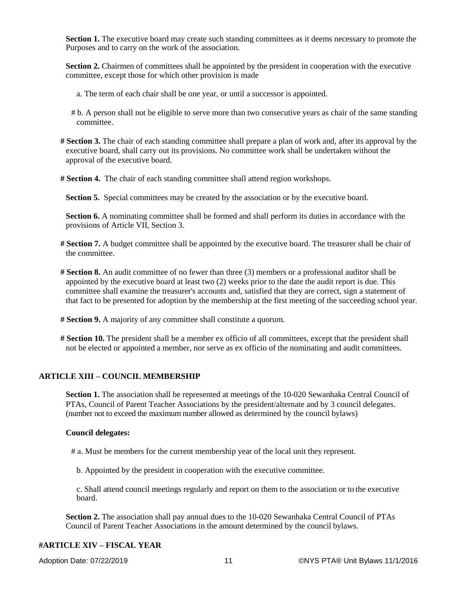**Section 1.** The executive board may create such standing committees as it deems necessary to promote the Purposes and to carry on the work of the association.

**Section 2.** Chairmen of committees shall be appointed by the president in cooperation with the executive committee, except those for which other provision is made

- a. The term of each chair shall be one year, or until a successor is appointed.
- # b. A person shall not be eligible to serve more than two consecutive years as chair of the same standing committee.
- **# Section 3.** The chair of each standing committee shall prepare a plan of work and, after its approval by the executive board, shall carry out its provisions. No committee work shall be undertaken without the approval of the executive board.
- **# Section 4.** The chair of each standing committee shall attend region workshops.
	- Section 5. Special committees may be created by the association or by the executive board.

**Section 6.** A nominating committee shall be formed and shall perform its duties in accordance with the provisions of Article VII, Section 3.

- **# Section 7.** A budget committee shall be appointed by the executive board. The treasurer shall be chair of the committee.
- **# Section 8.** An audit committee of no fewer than three (3) members or a professional auditor shall be appointed by the executive board at least two (2) weeks prior to the date the audit report is due. This committee shall examine the treasurer's accounts and, satisfied that they are correct, sign a statement of that fact to be presented for adoption by the membership at the first meeting of the succeeding school year.
- **# Section 9.** A majority of any committee shall constitute a quorum.
- **# Section 10.** The president shall be a member ex officio of all committees, except that the president shall not be elected or appointed a member, nor serve as ex officio of the nominating and audit committees.

### **ARTICLE XIII – COUNCIL MEMBERSHIP**

**Section 1.** The association shall be represented at meetings of the 10-020 Sewanhaka Central Council of PTAs, Council of Parent Teacher Associations by the president/alternate and by 3 council delegates. (number not to exceed the maximum number allowed as determined by the council bylaws)

#### **Council delegates:**

- # a. Must be members for the current membership year of the local unit they represent.
	- b. Appointed by the president in cooperation with the executive committee.
	- c. Shall attend council meetings regularly and report on them to the association or to the executive board.

**Section 2.** The association shall pay annual dues to the 10-020 Sewanhaka Central Council of PTAs Council of Parent Teacher Associations in the amount determined by the council bylaws.

## **#ARTICLE XIV – FISCAL YEAR**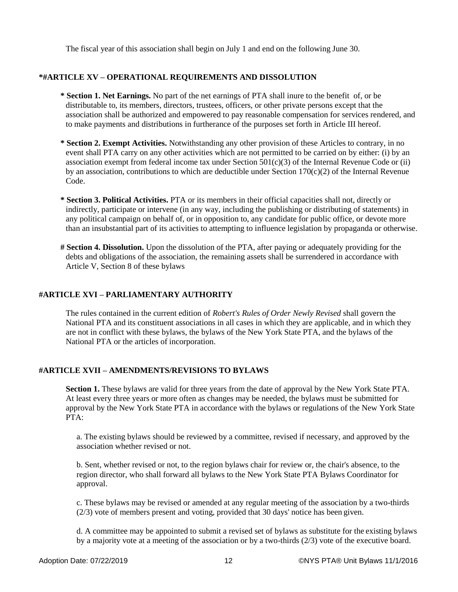The fiscal year of this association shall begin on July 1 and end on the following June 30.

### **\*#ARTICLE XV – OPERATIONAL REQUIREMENTS AND DISSOLUTION**

- **\* Section 1. Net Earnings.** No part of the net earnings of PTA shall inure to the benefit of, or be distributable to, its members, directors, trustees, officers, or other private persons except that the association shall be authorized and empowered to pay reasonable compensation for services rendered, and to make payments and distributions in furtherance of the purposes set forth in Article III hereof.
- **\* Section 2. Exempt Activities.** Notwithstanding any other provision of these Articles to contrary, in no event shall PTA carry on any other activities which are not permitted to be carried on by either: (i) by an association exempt from federal income tax under Section  $501(c)(3)$  of the Internal Revenue Code or (ii) by an association, contributions to which are deductible under Section  $170(c)(2)$  of the Internal Revenue Code.
- **\* Section 3. Political Activities.** PTA or its members in their official capacities shall not, directly or indirectly, participate or intervene (in any way, including the publishing or distributing of statements) in any political campaign on behalf of, or in opposition to, any candidate for public office, or devote more than an insubstantial part of its activities to attempting to influence legislation by propaganda or otherwise.
- **# Section 4. Dissolution.** Upon the dissolution of the PTA, after paying or adequately providing for the debts and obligations of the association, the remaining assets shall be surrendered in accordance with Article V, Section 8 of these bylaws

## **#ARTICLE XVI – PARLIAMENTARY AUTHORITY**

The rules contained in the current edition of *Robert's Rules of Order Newly Revised* shall govern the National PTA and its constituent associations in all cases in which they are applicable, and in which they are not in conflict with these bylaws, the bylaws of the New York State PTA, and the bylaws of the National PTA or the articles of incorporation.

### **#ARTICLE XVII – AMENDMENTS/REVISIONS TO BYLAWS**

**Section 1.** These bylaws are valid for three years from the date of approval by the New York State PTA. At least every three years or more often as changes may be needed, the bylaws must be submitted for approval by the New York State PTA in accordance with the bylaws or regulations of the New York State PTA:

a. The existing bylaws should be reviewed by a committee, revised if necessary, and approved by the association whether revised or not.

b. Sent, whether revised or not, to the region bylaws chair for review or, the chair's absence, to the region director, who shall forward all bylaws to the New York State PTA Bylaws Coordinator for approval.

c. These bylaws may be revised or amended at any regular meeting of the association by a two-thirds (2/3) vote of members present and voting, provided that 30 days' notice has been given.

d. A committee may be appointed to submit a revised set of bylaws as substitute for the existing bylaws by a majority vote at a meeting of the association or by a two-thirds (2/3) vote of the executive board.